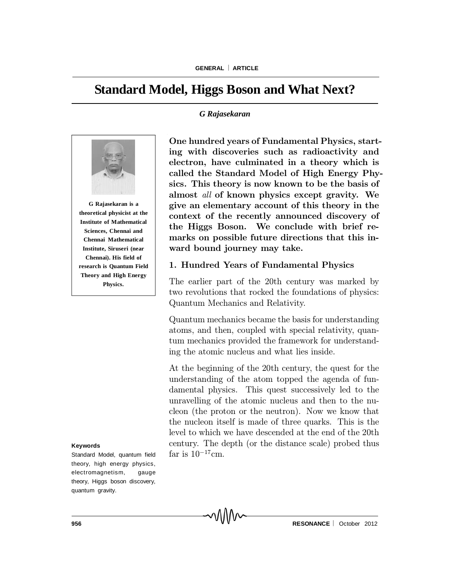# **Standard Model, Higgs Boson and What Next?**

#### *G Rajasekaran*



**Institute of Mathematical Sciences, Chennai and Chennai Mathematical Institute, Siruseri (near Chennai). His field of research is Quantum Field Theory and High Energy Physics.**

#### **Keywords**

Standard Model, quantum field theory, high energy physics, electromagnetism, gauge theory, Higgs boson discovery, quantum gravity.

One hundred years of Fundamental Physics, starting with discoveries such as radioactivity and electron, have culminated in a theory which is called the Standard Model of High Energy Physics. This theory is now known to be the basis of almost all of known physics except gravity. We give an elementary account of this theory in the context of the recently announced discovery of the Higgs Boson. We conclude with brief remarks on possible future directions that this inward bound journey may take.

## 1. Hundred Years of Fundamental Physics

The earlier part of the 20th century was marked by two revolutions that rocked the foundations of physics: Quantum Mechanics and Relativity.

Quantum mechanics became the basis for understanding atoms, and then, coupled with special relativity, quantum mechanics provided the framework for understanding the atomic nucleus and what lies inside.

At the beginning of the 20th century, the quest for the understanding of the atom topped the agenda of fundamental physics. This quest successively led to the unravelling of the atomic nucleus and then to the nucleon (the proton or the neutron). Now we know that the nucleon itself is made of three quarks. This is the level to which we have descended at the end of the 20th century. The depth (or the distance scale) probed thus far is  $10^{-17}$ cm.

**956 RESONANCE** │ October 2012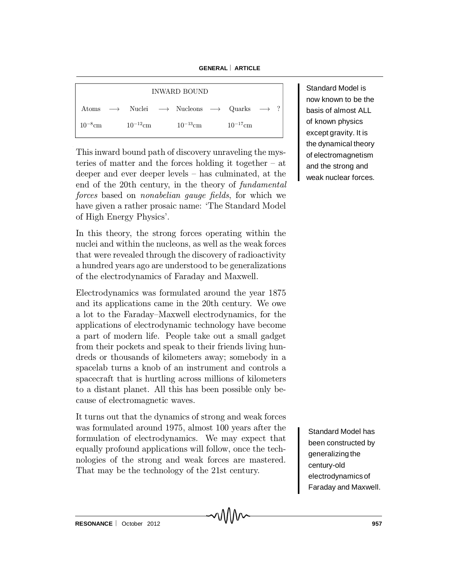**GENERAL** ¨ **ARTICLE**

| <b>INWARD BOUND</b> |  |               |  |                                                                                                        |  |               |  |  |
|---------------------|--|---------------|--|--------------------------------------------------------------------------------------------------------|--|---------------|--|--|
|                     |  |               |  | Atoms $\longrightarrow$ Nuclei $\longrightarrow$ Nucleons $\longrightarrow$ Quarks $\longrightarrow$ ? |  |               |  |  |
| $10^{-8}$ cm        |  | $10^{-12}$ cm |  | $10^{-13} \mathrm{cm}$                                                                                 |  | $10^{-17}$ cm |  |  |

This inward bound path of discovery unraveling the mysteries of matter and the forces holding it together  $-$  at deeper and ever deeper levels  $-$  has culminated, at the end of the 20th century, in the theory of fundamental forces based on *nonabelian gauge fields*, for which we have given a rather prosaic name: 'The Standard Model of High Energy Physics'.

In this theory, the strong forces operating within the nuclei and within the nucleons, as well as the weak forces that were revealed through the discovery of radioactivity a hundred years ago are understood to be generalizations of the electrodynamics of Faraday and Maxwell.

Electrodynamics was formulated around the year 1875 and its applications came in the 20th century. We owe a lot to the Faraday–Maxwell electrodynamics, for the applications of electrodynamic technology have become a part of modern life. People take out a small gadget from their pockets and speak to their friends living hundreds or thousands of kilometers away; somebody in a spacelab turns a knob of an instrument and controls a spacecraft that is hurtling across millions of kilometers to a distant planet. All this has been possible only because of electromagnetic waves.

It turns out that the dynamics of strong and weak forces was formulated around 1975, almost 100 years after the formulation of electrodynamics. We may expect that equally profound applications will follow, once the technologies of the strong and weak forces are mastered. That may be the technology of the 21st century.

Standard Model is now known to be the basis of almost ALL of known physics except gravity. It is the dynamical theory of electromagnetism and the strong and weak nuclear forces.

Standard Model has been constructed by generalizing the century-old electrodynamics of Faraday and Maxwell.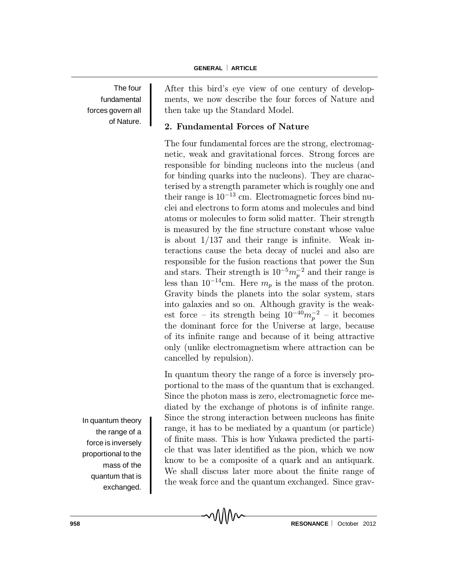#### **GENERAL** ¨ **ARTICLE**

The four fundamental forces govern all of Nature.

After this bird's eye view of one century of developments, we now describe the four forces of Nature and then take up the Standard Model.

## 2. Fundamental Forces of Nature

The four fundamental forces are the strong, electromagnetic, weak and gravitational forces. Strong forces are responsible for binding nucleons into the nucleus (and for binding quarks into the nucleons). They are characterised by a strength parameter which is roughly one and their range is  $10^{-13}$  cm. Electromagnetic forces bind nuclei and electrons to form atoms and molecules and bind atoms or molecules to form solid matter. Their strength is measured by the fine structure constant whose value is about  $1/137$  and their range is infinite. Weak interactions cause the beta decay of nuclei and also are responsible for the fusion reactions that power the Sun and stars. Their strength is  $10^{-5}m_p^{-2}$  and their range is less than  $10^{-14}$ cm. Here  $m_p$  is the mass of the proton. Gravity binds the planets into the solar system, stars into galaxies and so on. Although gravity is the weakest force – its strength being  $10^{-40}m_p^{-2}$  – it becomes the dominant force for the Universe at large, because of its infinite range and because of it being attractive only (unlike electromagnetism where attraction can be cancelled by repulsion).

In quantum theory the range of a force is inversely proportional to the mass of the quantum that is exchanged. Since the photon mass is zero, electromagnetic force mediated by the exchange of photons is of infinite range. Since the strong interaction between nucleons has finite range, it has to be mediated by a quantum (or particle) of finite mass. This is how Yukawa predicted the particle that was later identified as the pion, which we now know to be a composite of a quark and an antiquark. We shall discuss later more about the finite range of the weak force and the quantum exchanged. Since grav-

In quantum theory the range of a force is inversely proportional to the mass of the quantum that is exchanged.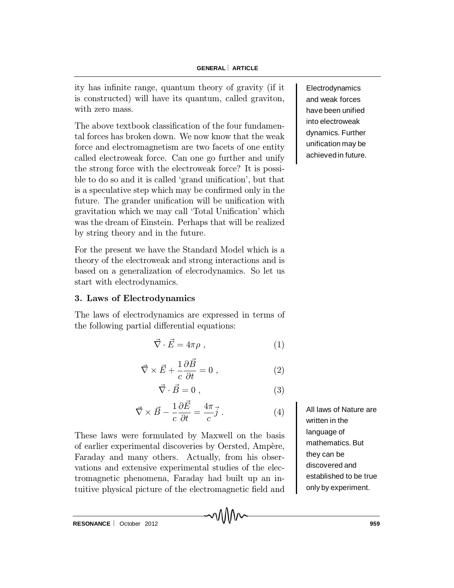ity has infinite range, quantum theory of gravity (if it is constructed) will have its quantum, called graviton, with zero mass.

The above textbook classification of the four fundamental forces has broken down. We now know that the weak force and electromagnetism are two facets of one entity called electroweak force. Can one go further and unify the strong force with the electroweak force? It is possible to do so and it is called 'grand unification', but that is a speculative step which may be confirmed only in the future. The grander unification will be unification with gravitation which we may call 'Total Unification' which was the dream of Einstein. Perhaps that will be realized by string theory and in the future.

For the present we have the Standard Model which is a theory of the electroweak and strong interactions and is based on a generalization of elecrodynamics. So let us start with electrodynamics.

## 3. Laws of Electrodynamics

The laws of electrodynamics are expressed in terms of the following partial differential equations:

$$
\vec{\nabla} \cdot \vec{E} = 4\pi\rho , \qquad (1)
$$

$$
\vec{\nabla} \times \vec{E} + \frac{1}{c} \frac{\partial \vec{B}}{\partial t} = 0 , \qquad (2)
$$

 $\vec{\nabla} \cdot \vec{B} = 0$ , (3)

$$
\vec{\nabla} \times \vec{B} - \frac{1}{c} \frac{\partial \vec{E}}{\partial t} = \frac{4\pi}{c} \vec{j} . \tag{4}
$$

These laws were formulated by Maxwell on the basis of earlier experimental discoveries by Oersted, Ampère, Faraday and many others. Actually, from his observations and extensive experimental studies of the electromagnetic phenomena, Faraday had built up an intuitive physical picture of the electromagnetic field and

All laws of Nature are written in the language of mathematics. But they can be discovered and established to be true only by experiment.

**Electrodynamics** and weak forces have been unified into electroweak dynamics. Further unification may be achieved in future.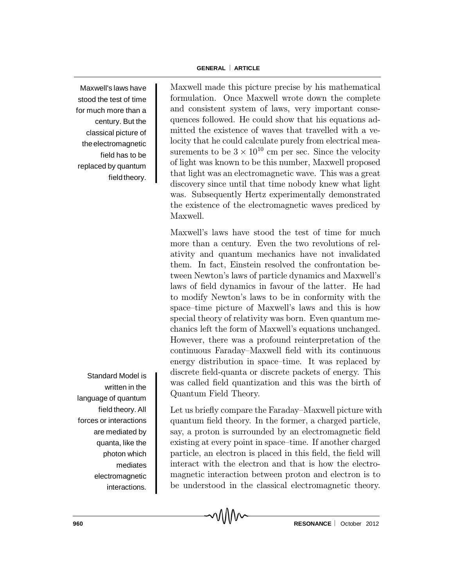Maxwell's laws have stood the test of time for much more than a century. But the classical picture of the electromagnetic field has to be replaced by quantum field theory.

Standard Model is written in the language of quantum field theory. All forces or interactions are mediated by quanta, like the photon which mediates electromagnetic interactions.

Maxwell made this picture precise by his mathematical formulation. Once Maxwell wrote down the complete and consistent system of laws, very important consequences followed. He could show that his equations admitted the existence of waves that travelled with a velocity that he could calculate purely from electrical measurements to be  $3 \times 10^{10}$  cm per sec. Since the velocity of light was known to be this number, Maxwell proposed that light was an electromagnetic wave. This was a great discovery since until that time nobody knew what light was. Subsequently Hertz experimentally demonstrated the existence of the electromagnetic waves prediced by Maxwell.

Maxwell's laws have stood the test of time for much more than a century. Even the two revolutions of relativity and quantum mechanics have not invalidated them. In fact, Einstein resolved the confrontation between Newton's laws of particle dynamics and Maxwell's laws of field dynamics in favour of the latter. He had to modify Newton's laws to be in conformity with the space-time picture of Maxwell's laws and this is how special theory of relativity was born. Even quantum mechanics left the form of Maxwell's equations unchanged. However, there was a profound reinterpretation of the continuous Faraday–Maxwell field with its continuous energy distribution in space-time. It was replaced by discrete field-quanta or discrete packets of energy. This was called field quantization and this was the birth of Quantum Field Theory.

Let us briefly compare the Faraday–Maxwell picture with quantum field theory. In the former, a charged particle, say, a proton is surrounded by an electromagnetic field existing at every point in space–time. If another charged particle, an electron is placed in this field, the field will interact with the electron and that is how the electromagnetic interaction between proton and electron is to be understood in the classical electromagnetic theory.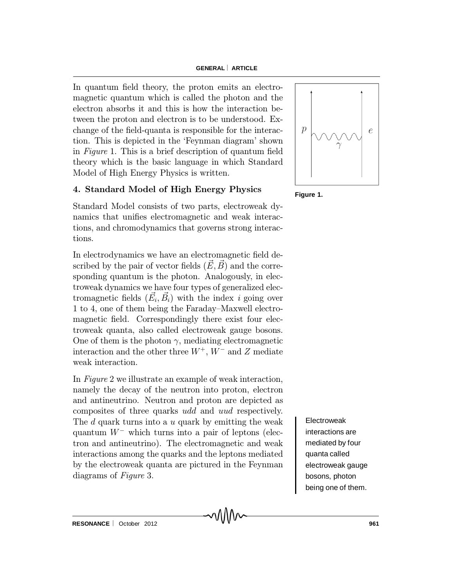In quantum field theory, the proton emits an electromagnetic quantum which is called the photon and the electron absorbs it and this is how the interaction between the proton and electron is to be understood. Exchange of the field-quanta is responsible for the interaction. This is depicted in the `Feynman diagram' shown in Figure 1. This is a brief description of quantum field theory which is the basic language in which Standard Model of High Energy Physics is written.

# 4. Standard Model of High Energy Physics

Standard Model consists of two parts, electroweak dynamics that unifies electromagnetic and weak interactions, and chromodynamics that governs strong interactions.

In electrodynamics we have an electromagnetic field described by the pair of vector fields  $(\vec{E}, \vec{B})$  and the corresponding quantum is the photon. Analogously, in electroweak dynamics we have four types of generalized electromagnetic fields  $(\vec{E}_i, \vec{B}_i)$  with the index i going over 1 to 4, one of them being the Faraday–Maxwell electromagnetic field. Correspondingly there exist four electroweak quanta, also called electroweak gauge bosons. One of them is the photon  $\gamma$ , mediating electromagnetic interaction and the other three  $W^+$ ,  $W^-$  and Z mediate weak interaction.

In Figure 2 we illustrate an example of weak interaction, namely the decay of the neutron into proton, electron and antineutrino. Neutron and proton are depicted as composites of three quarks udd and uud respectively. The d quark turns into a u quark by emitting the weak quantum  $W^-$  which turns into a pair of leptons (electron and antineutrino). The electromagnetic and weak interactions among the quarks and the leptons mediated by the electroweak quanta are pictured in the Feynman diagrams of Figure 3.



**Figure 1.**

**Electroweak** interactions are mediated by four quanta called electroweak gauge bosons, photon being one of them.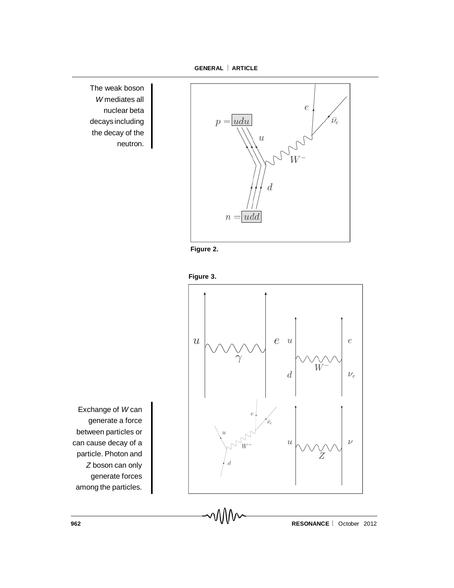**GENERAL** ¨ **ARTICLE**

The weak boson *W* mediates all nuclear beta decays including the decay of the neutron.









Exchange of *W* can generate a force between particles or can cause decay of a particle. Photon and *Z* boson can only generate forces among the particles.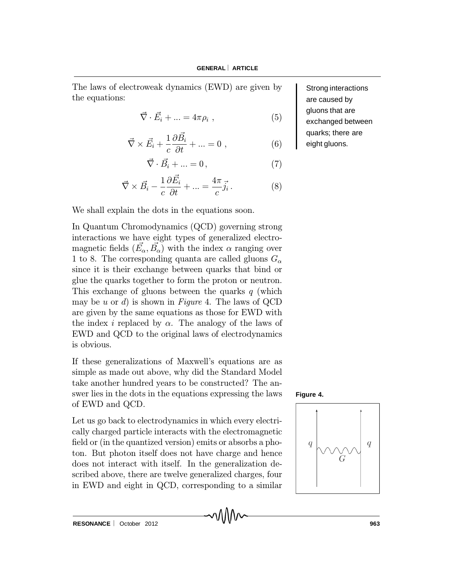The laws of electroweak dynamics (EWD) are given by the equations:

$$
\vec{\nabla} \cdot \vec{E}_i + \dots = 4\pi \rho_i , \qquad (5)
$$

$$
\vec{\nabla} \times \vec{E_i} + \frac{1}{c} \frac{\partial \vec{B_i}}{\partial t} + \dots = 0 , \qquad (6)
$$

$$
\vec{\nabla} \cdot \vec{B}_i + \dots = 0, \tag{7}
$$

$$
\vec{\nabla} \times \vec{B}_i - \frac{1}{c} \frac{\partial \vec{E}_i}{\partial t} + \dots = \frac{4\pi}{c} \vec{j}_i. \tag{8}
$$

We shall explain the dots in the equations soon.

In Quantum Chromodynamics (QCD) governing strong interactions we have eight types of generalized electromagnetic fields  $(E_{\alpha}, B_{\alpha})$  with the index  $\alpha$  ranging over 1 to 8. The corresponding quanta are called gluons  $G_{\alpha}$ since it is their exchange between quarks that bind or glue the quarks together to form the proton or neutron. This exchange of gluons between the quarks  $q$  (which may be u or d) is shown in Figure 4. The laws of QCD are given by the same equations as those for EWD with the index *i* replaced by  $\alpha$ . The analogy of the laws of EWD and QCD to the original laws of electrodynamics is obvious.

If these generalizations of Maxwell's equations are as simple as made out above, why did the Standard Model take another hundred years to be constructed? The answer lies in the dots in the equations expressing the laws of EWD and QCD.

Let us go back to electrodynamics in which every electrically charged particle interacts with the electromagnetic field or (in the quantized version) emits or absorbs a photon. But photon itself does not have charge and hence does not interact with itself. In the generalization described above, there are twelve generalized charges, four in EWD and eight in QCD, corresponding to a similar





Strong interactions are caused by gluons that are exchanged between quarks; there are eight gluons.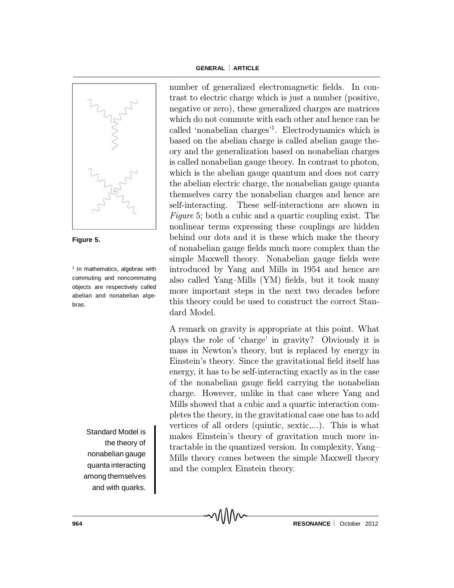

**Figure 5.**

<sup>1</sup> In mathematics, algebras with commuting and noncommuting objects are respectively called abelian and nonabelian algebras.

> Standard Model is the theory of nonabelian gauge quanta interacting among themselves and with quarks.

number of generalized electromagnetic fields. In contrast to electric charge which is just a number (positive, negative or zero), these generalized charges are matrices which do not commute with each other and hence can be called 'nonabelian charges'<sup>1</sup>. Electrodynamics which is based on the abelian charge is called abelian gauge theory and the generalization based on nonabelian charges is called nonabelian gauge theory. In contrast to photon, which is the abelian gauge quantum and does not carry the abelian electric charge, the nonabelian gauge quanta themselves carry the nonabelian charges and hence are self-interacting. These self-interactions are shown in Figure 5; both a cubic and a quartic coupling exist. The nonlinear terms expressing these couplings are hidden behind our dots and it is these which make the theory of nonabelian gauge fields much more complex than the simple Maxwell theory. Nonabelian gauge fields were introduced by Yang and Mills in 1954 and hence are also called Yang-Mills  $(YM)$  fields, but it took many more important steps in the next two decades before this theory could be used to construct the correct Standard Model.

A remark on gravity is appropriate at this point. What plays the role of `charge' in gravity? Obviously it is mass in Newton's theory, but is replaced by energy in Einstein's theory. Since the gravitational field itself has energy, it has to be self-interacting exactly as in the case of the nonabelian gauge field carrying the nonabelian charge. However, unlike in that case where Yang and Mills showed that a cubic and a quartic interaction completes the theory, in the gravitational case one has to add vertices of all orders (quintic, sextic,...). This is what makes Einstein's theory of gravitation much more intractable in the quantized version. In complexity, Yang{ Mills theory comes between the simple Maxwell theory and the complex Einstein theory.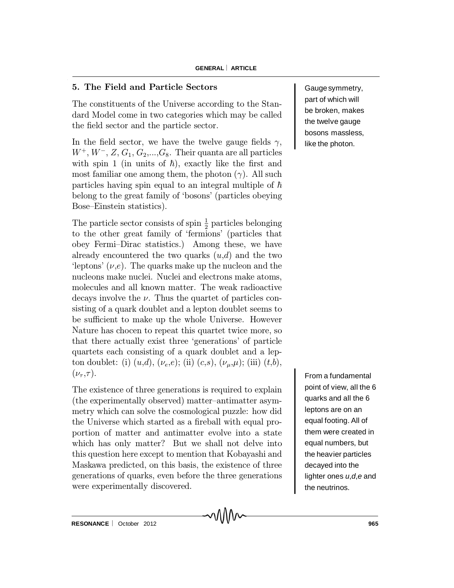## 5. The Field and Particle Sectors

The constituents of the Universe according to the Standard Model come in two categories which may be called the field sector and the particle sector.

In the field sector, we have the twelve gauge fields  $\gamma$ ,  $W^+$ ,  $W^-$ , Z,  $G_1$ ,  $G_2$ ,...,  $G_8$ . Their quanta are all particles with spin 1 (in units of  $\hbar$ ), exactly like the first and most familiar one among them, the photon  $(\gamma)$ . All such particles having spin equal to an integral multiple of  $\hbar$ belong to the great family of `bosons' (particles obeying Bose–Einstein statistics).

The particle sector consists of spin  $\frac{1}{2}$  particles belonging to the other great family of `fermions' (particles that obey Fermi-Dirac statistics.) Among these, we have already encountered the two quarks  $(u,d)$  and the two 'leptons'  $(\nu,e)$ . The quarks make up the nucleon and the nucleons make nuclei. Nuclei and electrons make atoms, molecules and all known matter. The weak radioactive decays involve the  $\nu$ . Thus the quartet of particles consisting of a quark doublet and a lepton doublet seems to be sufficient to make up the whole Universe. However Nature has chocen to repeat this quartet twice more, so that there actually exist three `generations' of particle quartets each consisting of a quark doublet and a lepton doublet: (i)  $(u,d)$ ,  $(\nu_e,e)$ ; (ii)  $(c,s)$ ,  $(\nu_\mu,\mu)$ ; (iii)  $(t,b)$ ,  $(\nu_\tau, \tau)$ .

The existence of three generations is required to explain (the experimentally observed) matter-antimatter asymmetry which can solve the cosmological puzzle: how did the Universe which started as a fireball with equal proportion of matter and antimatter evolve into a state which has only matter? But we shall not delve into this question here except to mention that Kobayashi and Maskawa predicted, on this basis, the existence of three generations of quarks, even before the three generations were experimentally discovered.

Gauge symmetry, part of which will be broken, makes the twelve gauge bosons massless, like the photon.

From a fundamental point of view, all the 6 quarks and all the 6 leptons are on an equal footing. All of them were created in equal numbers, but the heavier particles decayed into the lighter ones *u*,*d*,*e* and the neutrinos.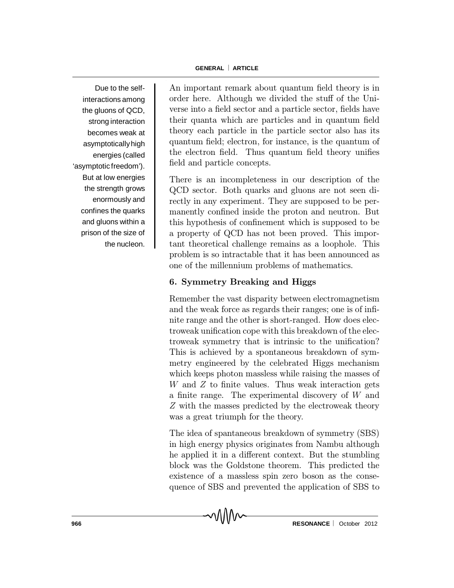Due to the selfinteractions among the gluons of QCD, strong interaction becomes weak at asymptotically high energies (called 'asymptotic freedom'). But at low energies the strength grows enormously and confines the quarks and gluons within a prison of the size of the nucleon.

An important remark about quantum field theory is in order here. Although we divided the stuff of the Universe into a field sector and a particle sector, fields have their quanta which are particles and in quantum field theory each particle in the particle sector also has its quantum field; electron, for instance, is the quantum of the electron field. Thus quantum field theory unifies field and particle concepts.

There is an incompleteness in our description of the QCD sector. Both quarks and gluons are not seen directly in any experiment. They are supposed to be permanently confined inside the proton and neutron. But this hypothesis of confinement which is supposed to be a property of QCD has not been proved. This important theoretical challenge remains as a loophole. This problem is so intractable that it has been announced as one of the millennium problems of mathematics.

## 6. Symmetry Breaking and Higgs

Remember the vast disparity between electromagnetism and the weak force as regards their ranges; one is of infinite range and the other is short-ranged. How does electroweak unification cope with this breakdown of the electroweak symmetry that is intrinsic to the unification? This is achieved by a spontaneous breakdown of symmetry engineered by the celebrated Higgs mechanism which keeps photon massless while raising the masses of  $W$  and  $Z$  to finite values. Thus weak interaction gets a finite range. The experimental discovery of  $W$  and Z with the masses predicted by the electroweak theory was a great triumph for the theory.

The idea of spantaneous breakdown of symmetry (SBS) in high energy physics originates from Nambu although he applied it in a different context. But the stumbling block was the Goldstone theorem. This predicted the existence of a massless spin zero boson as the consequence of SBS and prevented the application of SBS to

MM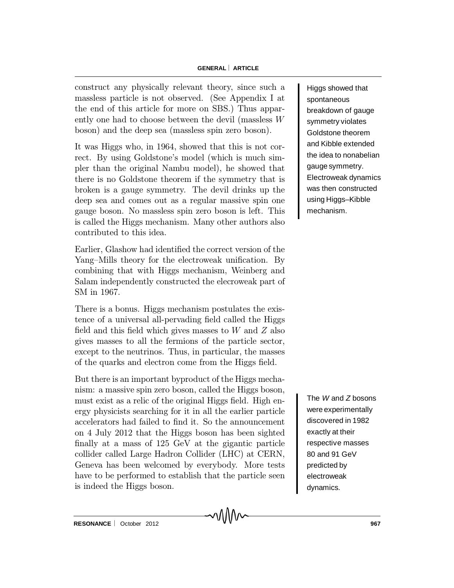construct any physically relevant theory, since such a massless particle is not observed. (See Appendix I at the end of this article for more on SBS.) Thus apparently one had to choose between the devil (massless W boson) and the deep sea (massless spin zero boson).

It was Higgs who, in 1964, showed that this is not correct. By using Goldstone's model (which is much simpler than the original Nambu model), he showed that there is no Goldstone theorem if the symmetry that is broken is a gauge symmetry. The devil drinks up the deep sea and comes out as a regular massive spin one gauge boson. No massless spin zero boson is left. This is called the Higgs mechanism. Many other authors also contributed to this idea.

Earlier, Glashow had identified the correct version of the Yang-Mills theory for the electroweak unification. By combining that with Higgs mechanism, Weinberg and Salam independently constructed the elecroweak part of SM in 1967.

There is a bonus. Higgs mechanism postulates the existence of a universal all-pervading field called the Higgs field and this field which gives masses to  $W$  and  $Z$  also gives masses to all the fermions of the particle sector, except to the neutrinos. Thus, in particular, the masses of the quarks and electron come from the Higgs field.

But there is an important byproduct of the Higgs mechanism: a massive spin zero boson, called the Higgs boson, must exist as a relic of the original Higgs field. High energy physicists searching for it in all the earlier particle accelerators had failed to find it. So the announcement on 4 July 2012 that the Higgs boson has been sighted finally at a mass of  $125 \text{ GeV}$  at the gigantic particle collider called Large Hadron Collider (LHC) at CERN, Geneva has been welcomed by everybody. More tests have to be performed to establish that the particle seen is indeed the Higgs boson.

Higgs showed that spontaneous breakdown of gauge symmetry violates Goldstone theorem and Kibble extended the idea to nonabelian gauge symmetry. Electroweak dynamics was then constructed using Higgs–Kibble mechanism.

The *W* and *Z* bosons were experimentally discovered in 1982 exactly at their respective masses 80 and 91 GeV predicted by electroweak dynamics.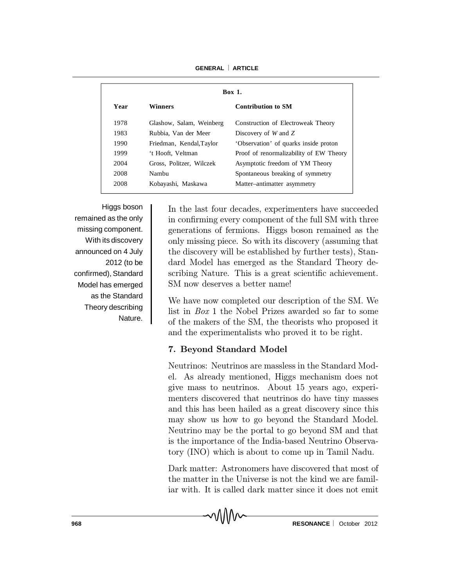**Box 1. Year Winners Contribution to SM** 1978 Glashow, Salam, Weinberg Construction of Electroweak Theory 1983 Rubbia, Van der Meer Discovery of *W* and *Z* 1990 Friedman, Kendal,Taylor 'Observation' of quarks inside proton 1999 't Hooft, Veltman Proof of renormalizability of EW Theory 2004 Gross, Politzer, Wilczek Asymptotic freedom of YM Theory 2008 Nambu Spontaneous breaking of symmetry 2008 Kobayashi, Maskawa Matter–antimatter asymmetry

**GENERAL** ¨ **ARTICLE**

Higgs boson remained as the only missing component. With its discovery announced on 4 July 2012 (to be confirmed), Standard Model has emerged as the Standard Theory describing Nature.

In the last four decades, experimenters have succeeded in confirming every component of the full SM with three generations of fermions. Higgs boson remained as the only missing piece. So with its discovery (assuming that the discovery will be established by further tests), Standard Model has emerged as the Standard Theory describing Nature. This is a great scientific achievement. SM now deserves a better name!

We have now completed our description of the SM. We list in Box 1 the Nobel Prizes awarded so far to some of the makers of the SM, the theorists who proposed it and the experimentalists who proved it to be right.

# 7. Beyond Standard Model

MMW

Neutrinos: Neutrinos are massless in the Standard Model. As already mentioned, Higgs mechanism does not give mass to neutrinos. About 15 years ago, experimenters discovered that neutrinos do have tiny masses and this has been hailed as a great discovery since this may show us how to go beyond the Standard Model. Neutrino may be the portal to go beyond SM and that is the importance of the India-based Neutrino Observatory (INO) which is about to come up in Tamil Nadu.

Dark matter: Astronomers have discovered that most of the matter in the Universe is not the kind we are familiar with. It is called dark matter since it does not emit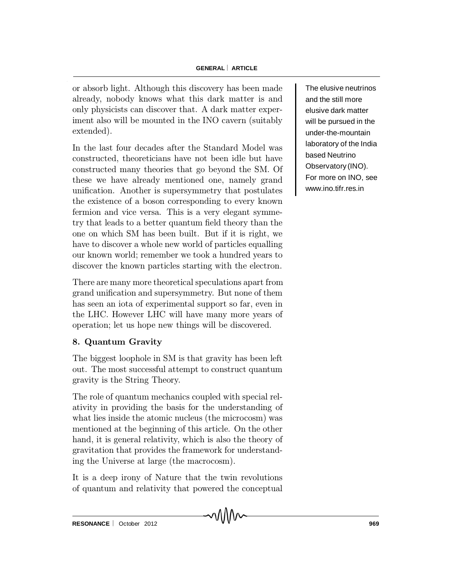or absorb light. Although this discovery has been made already, nobody knows what this dark matter is and only physicists can discover that. A dark matter experiment also will be mounted in the INO cavern (suitably extended).

In the last four decades after the Standard Model was constructed, theoreticians have not been idle but have constructed many theories that go beyond the SM. Of these we have already mentioned one, namely grand unification. Another is supersymmetry that postulates the existence of a boson corresponding to every known fermion and vice versa. This is a very elegant symmetry that leads to a better quantum field theory than the one on which SM has been built. But if it is right, we have to discover a whole new world of particles equalling our known world; remember we took a hundred years to discover the known particles starting with the electron.

There are many more theoretical speculations apart from grand unification and supersymmetry. But none of them has seen an iota of experimental support so far, even in the LHC. However LHC will have many more years of operation; let us hope new things will be discovered.

# 8. Quantum Gravity

The biggest loophole in SM is that gravity has been left out. The most successful attempt to construct quantum gravity is the String Theory.

The role of quantum mechanics coupled with special relativity in providing the basis for the understanding of what lies inside the atomic nucleus (the microcosm) was mentioned at the beginning of this article. On the other hand, it is general relativity, which is also the theory of gravitation that provides the framework for understanding the Universe at large (the macrocosm).

It is a deep irony of Nature that the twin revolutions of quantum and relativity that powered the conceptual The elusive neutrinos and the still more elusive dark matter will be pursued in the under-the-mountain laboratory of the India based Neutrino Observatory (INO). For more on INO, see www.ino.tifr.res.in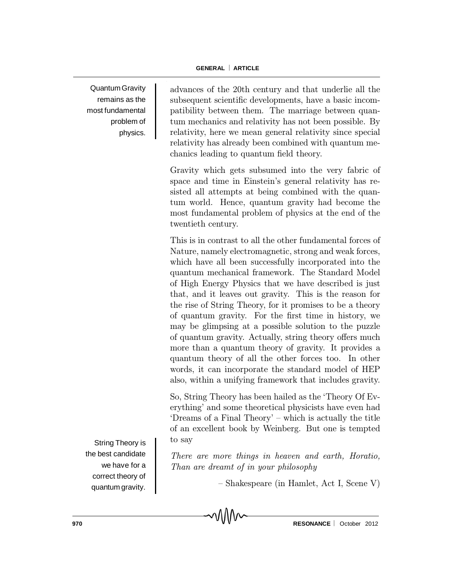Quantum Gravity remains as the most fundamental problem of physics.

advances of the 20th century and that underlie all the subsequent scientific developments, have a basic incompatibility between them. The marriage between quantum mechanics and relativity has not been possible. By relativity, here we mean general relativity since special relativity has already been combined with quantum mechanics leading to quantum field theory.

Gravity which gets subsumed into the very fabric of space and time in Einstein's general relativity has resisted all attempts at being combined with the quantum world. Hence, quantum gravity had become the most fundamental problem of physics at the end of the twentieth century.

This is in contrast to all the other fundamental forces of Nature, namely electromagnetic, strong and weak forces, which have all been successfully incorporated into the quantum mechanical framework. The Standard Model of High Energy Physics that we have described is just that, and it leaves out gravity. This is the reason for the rise of String Theory, for it promises to be a theory of quantum gravity. For the first time in history, we may be glimpsing at a possible solution to the puzzle of quantum gravity. Actually, string theory offers much more than a quantum theory of gravity. It provides a quantum theory of all the other forces too. In other words, it can incorporate the standard model of HEP also, within a unifying framework that includes gravity.

So, String Theory has been hailed as the `Theory Of Everything' and some theoretical physicists have even had  $'D$ reams of a Final Theory'  $-\text{ which is actually the title}$ of an excellent book by Weinberg. But one is tempted to say

There are more things in heaven and earth, Horatio, Than are dreamt of in your philosophy

MM

{ Shakespeare (in Hamlet, Act I, Scene V)

the best candidate we have for a correct theory of quantum gravity.

String Theory is

**970 RESONANCE**  $\begin{bmatrix} 0 & 0 \\ 0 & 0 \end{bmatrix}$  **RESONANCE**  $\begin{bmatrix} 0 & 0 \\ 0 & 0 \end{bmatrix}$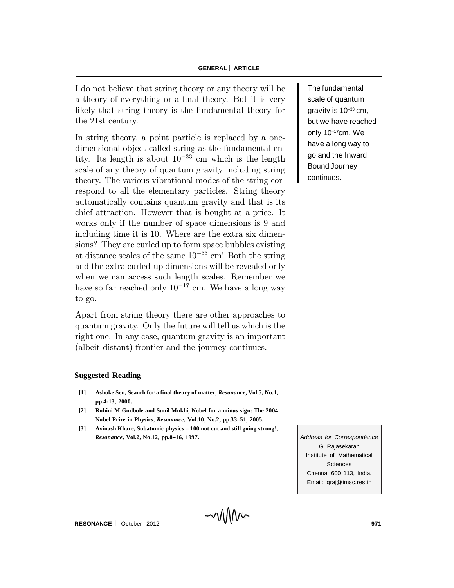I do not believe that string theory or any theory will be a theory of everything or a final theory. But it is very likely that string theory is the fundamental theory for the 21st century.

In string theory, a point particle is replaced by a onedimensional object called string as the fundamental entity. Its length is about  $10^{-33}$  cm which is the length scale of any theory of quantum gravity including string theory. The various vibrational modes of the string correspond to all the elementary particles. String theory automatically contains quantum gravity and that is its chief attraction. However that is bought at a price. It works only if the number of space dimensions is 9 and including time it is 10. Where are the extra six dimensions? They are curled up to form space bubbles existing at distance scales of the same  $10^{-33}$  cm! Both the string and the extra curled-up dimensions will be revealed only when we can access such length scales. Remember we have so far reached only  $10^{-17}$  cm. We have a long way to go.

Apart from string theory there are other approaches to quantum gravity. Only the future will tell us which is the right one. In any case, quantum gravity is an important (albeit distant) frontier and the journey continues.

#### **Suggested Reading**

- **[1] Ashoke Sen, Search for a final theory of matter,** *Resonance***, Vol.5, No.1, pp.4-13, 2000.**
- **[2] Rohini M Godbole and Sunil Mukhi, Nobel for a minus sign: The 2004 Nobel Prize in Physics,** *Resonance***, Vol.10, No.2, pp.33–51, 2005.**
- **[3] Avinash Khare, Subatomic physics 100 not out and still going strong!,** *Resonance***, Vol.2, No.12, pp.8–16, 1997.** *Address for Correspondence*

G Rajasekaran Institute of Mathematical Sciences Chennai 600 113, India. Email: graj@imsc.res.in

The fundamental scale of quantum gravity is  $10^{-33}$  cm, but we have reached only 10–17cm. We have a long way to go and the Inward Bound Journey continues.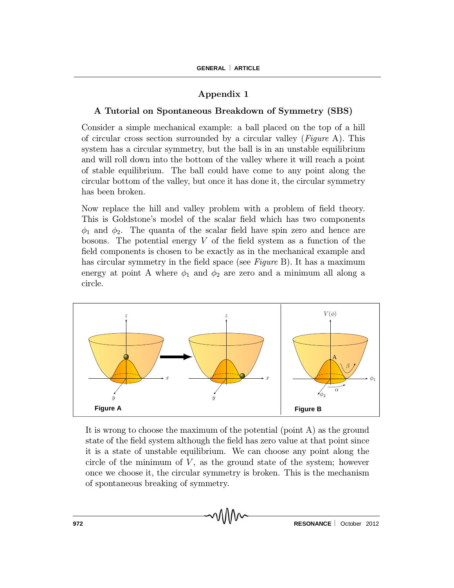## Appendix 1

#### A Tutorial on Spontaneous Breakdown of Symmetry (SBS)

Consider a simple mechanical example: a ball placed on the top of a hill of circular cross section surrounded by a circular valley (*Figure A*). This system has a circular symmetry, but the ball is in an unstable equilibrium and will roll down into the bottom of the valley where it will reach a point of stable equilibrium. The ball could have come to any point along the circular bottom of the valley, but once it has done it, the circular symmetry has been broken.

Now replace the hill and valley problem with a problem of field theory. This is Goldstone's model of the scalar field which has two components  $\phi_1$  and  $\phi_2$ . The quanta of the scalar field have spin zero and hence are bosons. The potential energy  $V$  of the field system as a function of the field components is chosen to be exactly as in the mechanical example and has circular symmetry in the field space (see  $Figure B$ ). It has a maximum energy at point A where  $\phi_1$  and  $\phi_2$  are zero and a minimum all along a circle.



It is wrong to choose the maximum of the potential (point A) as the ground state of the field system although the field has zero value at that point since it is a state of unstable equilibrium. We can choose any point along the circle of the minimum of  $V$ , as the ground state of the system; however once we choose it, the circular symmetry is broken. This is the mechanism of spontaneous breaking of symmetry.

MM